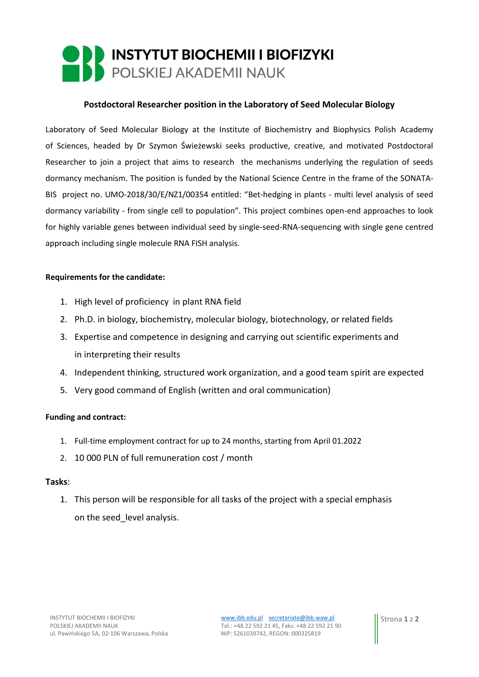# INSTYTUT BIOCHEMII I BIOFIZYKI<br>POLSKIEJ AKADEMII NAUK

## **Postdoctoral Researcher position in the Laboratory of Seed Molecular Biology**

Laboratory of Seed Molecular Biology at the Institute of Biochemistry and Biophysics Polish Academy of Sciences, headed by Dr Szymon Świeżewski seeks productive, creative, and motivated Postdoctoral Researcher to join a project that aims to research the mechanisms underlying the regulation of seeds dormancy mechanism. The position is funded by the National Science Centre in the frame of the SONATA-BIS project no. UMO-2018/30/E/NZ1/00354 entitled: "Bet-hedging in plants - multi level analysis of seed dormancy variability - from single cell to population". This project combines open-end approaches to look for highly variable genes between individual seed by single-seed-RNA-sequencing with single gene centred approach including single molecule RNA FISH analysis.

### **Requirements for the candidate:**

- 1. High level of proficiency in plant RNA field
- 2. Ph.D. in biology, biochemistry, molecular biology, biotechnology, or related fields
- 3. Expertise and competence in designing and carrying out scientific experiments and in interpreting their results
- 4. Independent thinking, structured work organization, and a good team spirit are expected
- 5. Very good command of English (written and oral communication)

#### **Funding and contract:**

- 1. Full-time employment contract for up to 24 months, starting from April 01.2022
- 2. 10 000 PLN of full remuneration cost / month

#### **Tasks**:

1. This person will be responsible for all tasks of the project with a special emphasis on the seed\_level analysis.